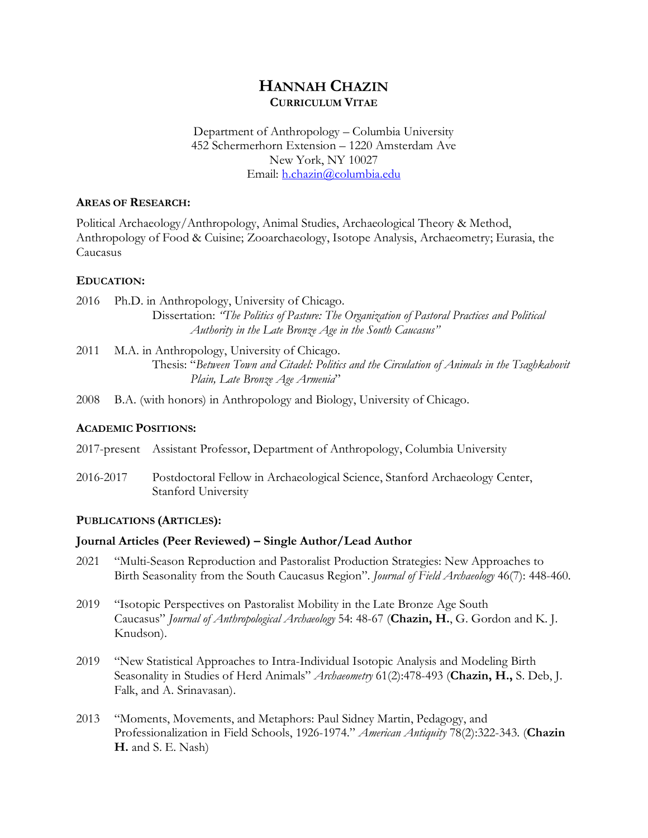# **HANNAH CHAZIN CURRICULUM VITAE**

### Department of Anthropology – Columbia University 452 Schermerhorn Extension – 1220 Amsterdam Ave New York, NY 10027 Email: h.chazin@columbia.edu

#### **AREAS OF RESEARCH:**

Political Archaeology/Anthropology, Animal Studies, Archaeological Theory & Method, Anthropology of Food & Cuisine; Zooarchaeology, Isotope Analysis, Archaeometry; Eurasia, the Caucasus

## **EDUCATION:**

2016 Ph.D. in Anthropology, University of Chicago. Dissertation: *"The Politics of Pasture: The Organization of Pastoral Practices and Political Authority in the Late Bronze Age in the South Caucasus"*

2011 M.A. in Anthropology, University of Chicago. Thesis: "*Between Town and Citadel: Politics and the Circulation of Animals in the Tsaghkahovit Plain, Late Bronze Age Armenia*"

2008 B.A. (with honors) in Anthropology and Biology, University of Chicago.

## **ACADEMIC POSITIONS:**

2017-present Assistant Professor, Department of Anthropology, Columbia University

2016-2017 Postdoctoral Fellow in Archaeological Science, Stanford Archaeology Center, Stanford University

#### **PUBLICATIONS (ARTICLES):**

## **Journal Articles (Peer Reviewed) – Single Author/Lead Author**

- 2021 "Multi-Season Reproduction and Pastoralist Production Strategies: New Approaches to Birth Seasonality from the South Caucasus Region". *Journal of Field Archaeology* 46(7): 448-460.
- 2019 "Isotopic Perspectives on Pastoralist Mobility in the Late Bronze Age South Caucasus" *Journal of Anthropological Archaeology* 54: 48-67 (**Chazin, H.**, G. Gordon and K. J. Knudson).
- 2019 "New Statistical Approaches to Intra-Individual Isotopic Analysis and Modeling Birth Seasonality in Studies of Herd Animals" *Archaeometry* 61(2):478-493 (**Chazin, H.,** S. Deb, J. Falk, and A. Srinavasan).
- 2013 "Moments, Movements, and Metaphors: Paul Sidney Martin, Pedagogy, and Professionalization in Field Schools, 1926-1974." *American Antiquity* 78(2):322-343. (**Chazin H.** and S. E. Nash)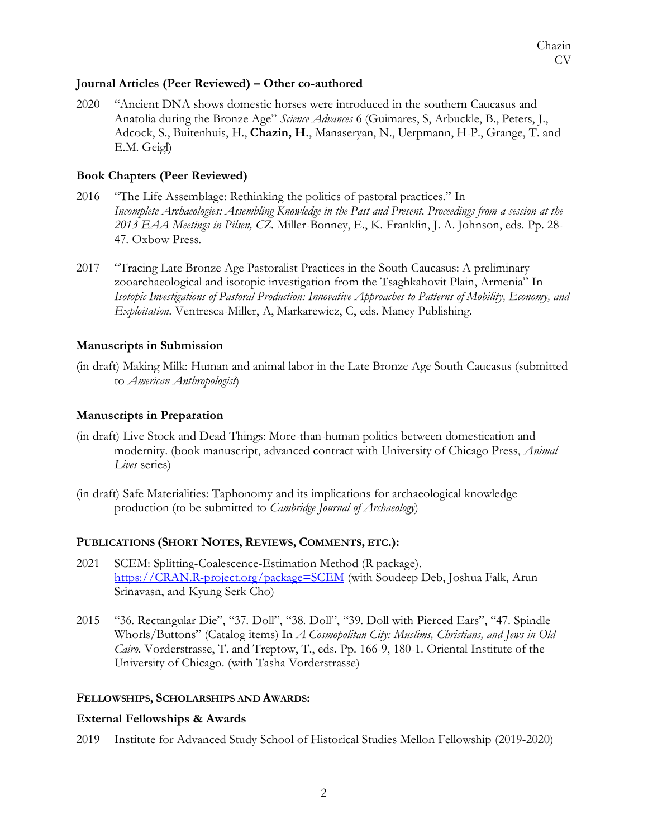### **Journal Articles (Peer Reviewed) – Other co-authored**

2020 "Ancient DNA shows domestic horses were introduced in the southern Caucasus and Anatolia during the Bronze Age" *Science Advances* 6 (Guimares, S, Arbuckle, B., Peters, J., Adcock, S., Buitenhuis, H., **Chazin, H.**, Manaseryan, N., Uerpmann, H-P., Grange, T. and E.M. Geigl)

## **Book Chapters (Peer Reviewed)**

- 2016 "The Life Assemblage: Rethinking the politics of pastoral practices." In *Incomplete Archaeologies: Assembling Knowledge in the Past and Present. Proceedings from a session at the 2013 EAA Meetings in Pilsen, CZ.* Miller-Bonney, E., K. Franklin, J. A. Johnson, eds. Pp. 28- 47. Oxbow Press.
- 2017 "Tracing Late Bronze Age Pastoralist Practices in the South Caucasus: A preliminary zooarchaeological and isotopic investigation from the Tsaghkahovit Plain, Armenia" In *Isotopic Investigations of Pastoral Production: Innovative Approaches to Patterns of Mobility, Economy, and Exploitation*. Ventresca-Miller, A, Markarewicz, C, eds. Maney Publishing.

## **Manuscripts in Submission**

(in draft) Making Milk: Human and animal labor in the Late Bronze Age South Caucasus (submitted to *American Anthropologist*)

## **Manuscripts in Preparation**

- (in draft) Live Stock and Dead Things: More-than-human politics between domestication and modernity. (book manuscript, advanced contract with University of Chicago Press, *Animal Lives* series)
- (in draft) Safe Materialities: Taphonomy and its implications for archaeological knowledge production (to be submitted to *Cambridge Journal of Archaeology*)

#### **PUBLICATIONS (SHORT NOTES, REVIEWS, COMMENTS, ETC.):**

- 2021 SCEM: Splitting-Coalescence-Estimation Method (R package). https://CRAN.R-project.org/package=SCEM (with Soudeep Deb, Joshua Falk, Arun Srinavasn, and Kyung Serk Cho)
- 2015 "36. Rectangular Die", "37. Doll", "38. Doll", "39. Doll with Pierced Ears", "47. Spindle Whorls/Buttons" (Catalog items) In *A Cosmopolitan City: Muslims, Christians, and Jews in Old Cairo*. Vorderstrasse, T. and Treptow, T., eds. Pp. 166-9, 180-1. Oriental Institute of the University of Chicago. (with Tasha Vorderstrasse)

#### **FELLOWSHIPS, SCHOLARSHIPS AND AWARDS:**

## **External Fellowships & Awards**

2019 Institute for Advanced Study School of Historical Studies Mellon Fellowship (2019-2020)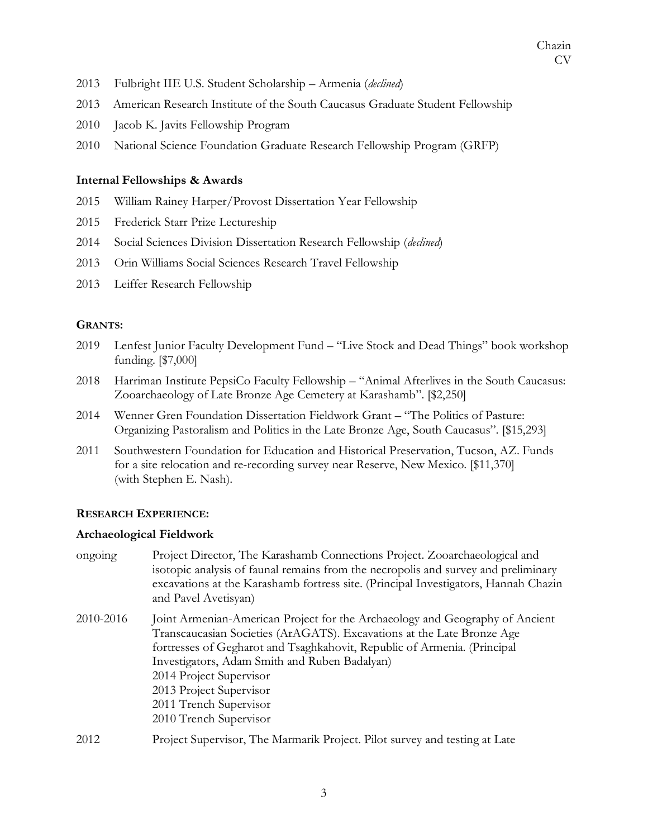- 2013 Fulbright IIE U.S. Student Scholarship Armenia (*declined*)
- 2013 American Research Institute of the South Caucasus Graduate Student Fellowship
- 2010 Jacob K. Javits Fellowship Program
- 2010 National Science Foundation Graduate Research Fellowship Program (GRFP)

## **Internal Fellowships & Awards**

- 2015 William Rainey Harper/Provost Dissertation Year Fellowship
- 2015 Frederick Starr Prize Lectureship
- 2014 Social Sciences Division Dissertation Research Fellowship (*declined*)
- 2013 Orin Williams Social Sciences Research Travel Fellowship
- 2013 Leiffer Research Fellowship

## **GRANTS:**

- 2019 Lenfest Junior Faculty Development Fund "Live Stock and Dead Things" book workshop funding. [\$7,000]
- 2018 Harriman Institute PepsiCo Faculty Fellowship "Animal Afterlives in the South Caucasus: Zooarchaeology of Late Bronze Age Cemetery at Karashamb". [\$2,250]
- 2014 Wenner Gren Foundation Dissertation Fieldwork Grant "The Politics of Pasture: Organizing Pastoralism and Politics in the Late Bronze Age, South Caucasus". [\$15,293]
- 2011 Southwestern Foundation for Education and Historical Preservation, Tucson, AZ. Funds for a site relocation and re-recording survey near Reserve, New Mexico. [\$11,370] (with Stephen E. Nash).

## **RESEARCH EXPERIENCE:**

## **Archaeological Fieldwork**

ongoing Project Director, The Karashamb Connections Project. Zooarchaeological and isotopic analysis of faunal remains from the necropolis and survey and preliminary excavations at the Karashamb fortress site. (Principal Investigators, Hannah Chazin and Pavel Avetisyan) 2010-2016 Joint Armenian-American Project for the Archaeology and Geography of Ancient Transcaucasian Societies (ArAGATS). Excavations at the Late Bronze Age fortresses of Gegharot and Tsaghkahovit, Republic of Armenia. (Principal Investigators, Adam Smith and Ruben Badalyan) 2014 Project Supervisor 2013 Project Supervisor 2011 Trench Supervisor 2010 Trench Supervisor 2012 Project Supervisor, The Marmarik Project. Pilot survey and testing at Late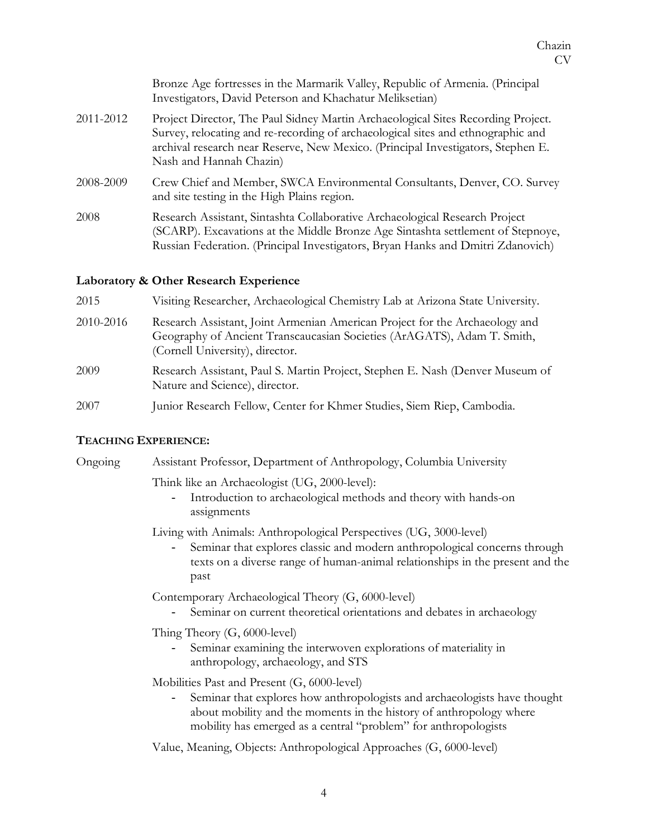|           | Bronze Age fortresses in the Marmarik Valley, Republic of Armenia. (Principal<br>Investigators, David Peterson and Khachatur Meliksetian)                                                                                                                                           |
|-----------|-------------------------------------------------------------------------------------------------------------------------------------------------------------------------------------------------------------------------------------------------------------------------------------|
| 2011-2012 | Project Director, The Paul Sidney Martin Archaeological Sites Recording Project.<br>Survey, relocating and re-recording of archaeological sites and ethnographic and<br>archival research near Reserve, New Mexico. (Principal Investigators, Stephen E.<br>Nash and Hannah Chazin) |
| 2008-2009 | Crew Chief and Member, SWCA Environmental Consultants, Denver, CO. Survey<br>and site testing in the High Plains region.                                                                                                                                                            |
| 2008      | Research Assistant, Sintashta Collaborative Archaeological Research Project<br>(SCARP). Excavations at the Middle Bronze Age Sintashta settlement of Stepnoye,<br>Russian Federation. (Principal Investigators, Bryan Hanks and Dmitri Zdanovich)                                   |

#### **Laboratory & Other Research Experience**

| 2015      | Visiting Researcher, Archaeological Chemistry Lab at Arizona State University.                                                                                                            |
|-----------|-------------------------------------------------------------------------------------------------------------------------------------------------------------------------------------------|
| 2010-2016 | Research Assistant, Joint Armenian American Project for the Archaeology and<br>Geography of Ancient Transcaucasian Societies (ArAGATS), Adam T. Smith,<br>(Cornell University), director. |
| 2009      | Research Assistant, Paul S. Martin Project, Stephen E. Nash (Denver Museum of<br>Nature and Science), director.                                                                           |
| 2007      | Junior Research Fellow, Center for Khmer Studies, Siem Riep, Cambodia.                                                                                                                    |

## **TEACHING EXPERIENCE:**

Ongoing Assistant Professor, Department of Anthropology, Columbia University Think like an Archaeologist (UG, 2000-level): - Introduction to archaeological methods and theory with hands-on assignments Living with Animals: Anthropological Perspectives (UG, 3000-level) Seminar that explores classic and modern anthropological concerns through texts on a diverse range of human-animal relationships in the present and the past Contemporary Archaeological Theory (G, 6000-level) Seminar on current theoretical orientations and debates in archaeology Thing Theory (G, 6000-level) Seminar examining the interwoven explorations of materiality in anthropology, archaeology, and STS Mobilities Past and Present (G, 6000-level) - Seminar that explores how anthropologists and archaeologists have thought about mobility and the moments in the history of anthropology where mobility has emerged as a central "problem" for anthropologists

Value, Meaning, Objects: Anthropological Approaches (G, 6000-level)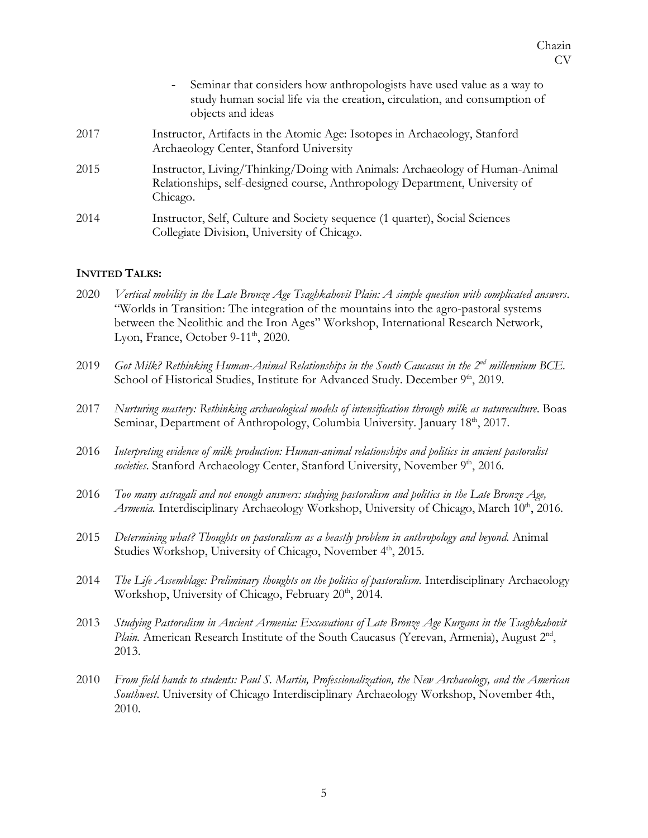|      | - Seminar that considers how anthropologists have used value as a way to<br>study human social life via the creation, circulation, and consumption of<br>objects and ideas |
|------|----------------------------------------------------------------------------------------------------------------------------------------------------------------------------|
| 2017 | Instructor, Artifacts in the Atomic Age: Isotopes in Archaeology, Stanford<br>Archaeology Center, Stanford University                                                      |
| 2015 | Instructor, Living/Thinking/Doing with Animals: Archaeology of Human-Animal<br>Relationships, self-designed course, Anthropology Department, University of<br>Chicago.     |
| 2014 | Instructor, Self, Culture and Society sequence (1 quarter), Social Sciences<br>Collegiate Division, University of Chicago.                                                 |

#### **INVITED TALKS:**

- 2020 *Vertical mobility in the Late Bronze Age Tsaghkahovit Plain: A simple question with complicated answers*. "Worlds in Transition: The integration of the mountains into the agro-pastoral systems between the Neolithic and the Iron Ages" Workshop, International Research Network, Lyon, France, October 9-11<sup>th</sup>, 2020.
- 2019 *Got Milk? Rethinking Human-Animal Relationships in the South Caucasus in the 2nd millennium BCE.* School of Historical Studies, Institute for Advanced Study. December 9<sup>th</sup>, 2019.
- 2017 *Nurturing mastery: Rethinking archaeological models of intensification through milk as natureculture*. Boas Seminar, Department of Anthropology, Columbia University. January 18<sup>th</sup>, 2017.
- 2016 *Interpreting evidence of milk production: Human-animal relationships and politics in ancient pastoralist*  societies. Stanford Archaeology Center, Stanford University, November 9<sup>th</sup>, 2016.
- 2016 *Too many astragali and not enough answers: studying pastoralism and politics in the Late Bronze Age,*  Armenia. Interdisciplinary Archaeology Workshop, University of Chicago, March 10<sup>th</sup>, 2016.
- 2015 *Determining what? Thoughts on pastoralism as a beastly problem in anthropology and beyond*. Animal Studies Workshop, University of Chicago, November 4<sup>th</sup>, 2015.
- 2014 *The Life Assemblage: Preliminary thoughts on the politics of pastoralism.* Interdisciplinary Archaeology Workshop, University of Chicago, February  $20<sup>th</sup>$ , 2014.
- 2013 *Studying Pastoralism in Ancient Armenia: Excavations of Late Bronze Age Kurgans in the Tsaghkahovit Plain.* American Research Institute of the South Caucasus (Yerevan, Armenia), August 2<sup>nd</sup>, 2013.
- 2010 *From field hands to students: Paul S. Martin, Professionalization, the New Archaeology, and the American Southwest*. University of Chicago Interdisciplinary Archaeology Workshop, November 4th, 2010.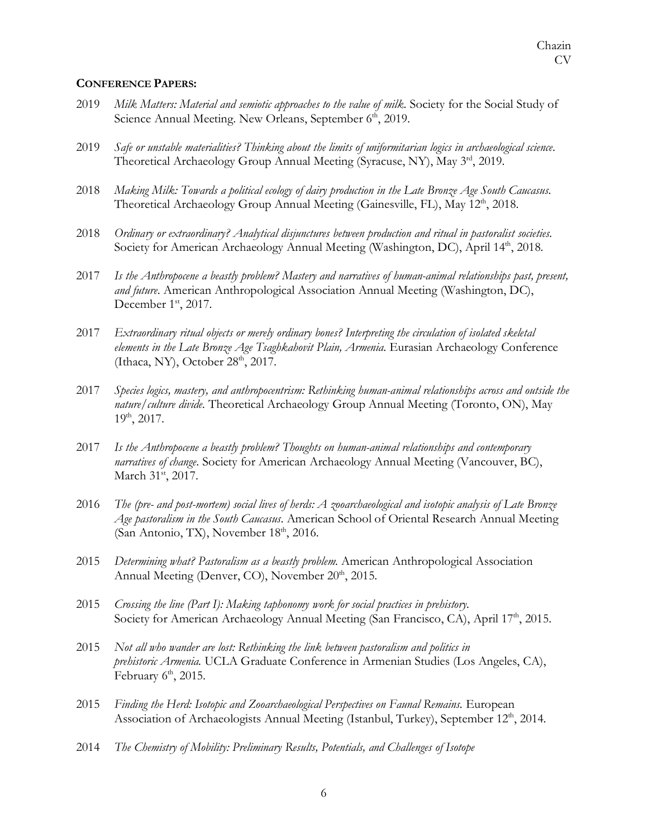#### **CONFERENCE PAPERS:**

- 2019 *Milk Matters: Material and semiotic approaches to the value of milk*. Society for the Social Study of Science Annual Meeting. New Orleans, September 6<sup>th</sup>, 2019.
- 2019 *Safe or unstable materialities? Thinking about the limits of uniformitarian logics in archaeological science*. Theoretical Archaeology Group Annual Meeting (Syracuse, NY), May 3rd, 2019.
- 2018 *Making Milk: Towards a political ecology of dairy production in the Late Bronze Age South Caucasus.* Theoretical Archaeology Group Annual Meeting (Gainesville, FL), May 12<sup>th</sup>, 2018.
- 2018 *Ordinary or extraordinary? Analytical disjunctures between production and ritual in pastoralist societies.* Society for American Archaeology Annual Meeting (Washington, DC), April 14<sup>th</sup>, 2018.
- 2017 *Is the Anthropocene a beastly problem? Mastery and narratives of human-animal relationships past, present, and future*. American Anthropological Association Annual Meeting (Washington, DC), December 1<sup>st</sup>, 2017.
- 2017 *Extraordinary ritual objects or merely ordinary bones? Interpreting the circulation of isolated skeletal elements in the Late Bronze Age Tsaghkahovit Plain, Armenia*. Eurasian Archaeology Conference (Ithaca, NY), October  $28<sup>th</sup>$ ,  $2017$ .
- 2017 *Species logics, mastery, and anthropocentrism: Rethinking human-animal relationships across and outside the nature/culture divide.* Theoretical Archaeology Group Annual Meeting (Toronto, ON), May 19th, 2017.
- 2017 *Is the Anthropocene a beastly problem? Thoughts on human-animal relationships and contemporary narratives of change*. Society for American Archaeology Annual Meeting (Vancouver, BC), March 31<sup>st</sup>, 2017.
- 2016 *The (pre- and post-mortem) social lives of herds: A zooarchaeological and isotopic analysis of Late Bronze Age pastoralism in the South Caucasus*. American School of Oriental Research Annual Meeting (San Antonio, TX), November  $18<sup>th</sup>$ , 2016.
- 2015 *Determining what? Pastoralism as a beastly problem.* American Anthropological Association Annual Meeting (Denver, CO), November 20<sup>th</sup>, 2015.
- 2015 *Crossing the line (Part I): Making taphonomy work for social practices in prehistory.* Society for American Archaeology Annual Meeting (San Francisco, CA), April 17<sup>th</sup>, 2015.
- 2015 *Not all who wander are lost: Rethinking the link between pastoralism and politics in prehistoric Armenia.* UCLA Graduate Conference in Armenian Studies (Los Angeles, CA), February  $6<sup>th</sup>$ , 2015.
- 2015 *Finding the Herd: Isotopic and Zooarchaeological Perspectives on Faunal Remains.* European Association of Archaeologists Annual Meeting (Istanbul, Turkey), September 12<sup>th</sup>, 2014.
- 2014 *The Chemistry of Mobility: Preliminary Results, Potentials, and Challenges of Isotope*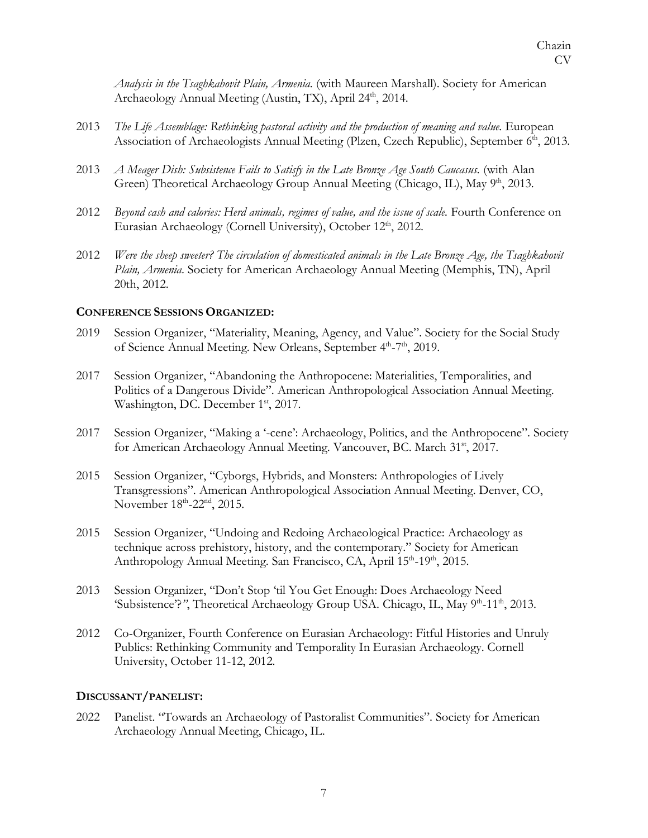*Analysis in the Tsaghkahovit Plain, Armenia.* (with Maureen Marshall). Society for American Archaeology Annual Meeting (Austin, TX), April 24<sup>th</sup>, 2014.

- 2013 *The Life Assemblage: Rethinking pastoral activity and the production of meaning and value.* European Association of Archaeologists Annual Meeting (Plzen, Czech Republic), September 6<sup>th</sup>, 2013.
- 2013 *A Meager Dish: Subsistence Fails to Satisfy in the Late Bronze Age South Caucasus.* (with Alan Green) Theoretical Archaeology Group Annual Meeting (Chicago, IL), May  $9<sup>th</sup>$ , 2013.
- 2012 *Beyond cash and calories: Herd animals, regimes of value, and the issue of scale.* Fourth Conference on Eurasian Archaeology (Cornell University), October 12<sup>th</sup>, 2012.
- 2012 *Were the sheep sweeter? The circulation of domesticated animals in the Late Bronze Age, the Tsaghkahovit Plain, Armenia*. Society for American Archaeology Annual Meeting (Memphis, TN), April 20th, 2012.

## **CONFERENCE SESSIONS ORGANIZED:**

- 2019 Session Organizer, "Materiality, Meaning, Agency, and Value". Society for the Social Study of Science Annual Meeting. New Orleans, September 4<sup>th</sup>-7<sup>th</sup>, 2019.
- 2017 Session Organizer, "Abandoning the Anthropocene: Materialities, Temporalities, and Politics of a Dangerous Divide". American Anthropological Association Annual Meeting. Washington, DC. December 1<sup>st</sup>, 2017.
- 2017 Session Organizer, "Making a '-cene': Archaeology, Politics, and the Anthropocene". Society for American Archaeology Annual Meeting. Vancouver, BC. March 31<sup>st</sup>, 2017.
- 2015 Session Organizer, "Cyborgs, Hybrids, and Monsters: Anthropologies of Lively Transgressions". American Anthropological Association Annual Meeting. Denver, CO, November 18<sup>th</sup>-22<sup>nd</sup>, 2015.
- 2015 Session Organizer, "Undoing and Redoing Archaeological Practice: Archaeology as technique across prehistory, history, and the contemporary." Society for American Anthropology Annual Meeting. San Francisco, CA, April 15<sup>th</sup>-19<sup>th</sup>, 2015.
- 2013 Session Organizer, "Don't Stop 'til You Get Enough: Does Archaeology Need 'Subsistence'?'', Theoretical Archaeology Group USA. Chicago, IL, May 9<sup>th</sup>-11<sup>th</sup>, 2013.
- 2012 Co-Organizer, Fourth Conference on Eurasian Archaeology: Fitful Histories and Unruly Publics: Rethinking Community and Temporality In Eurasian Archaeology. Cornell University, October 11-12, 2012.

#### **DISCUSSANT/PANELIST:**

2022 Panelist. "Towards an Archaeology of Pastoralist Communities". Society for American Archaeology Annual Meeting, Chicago, IL.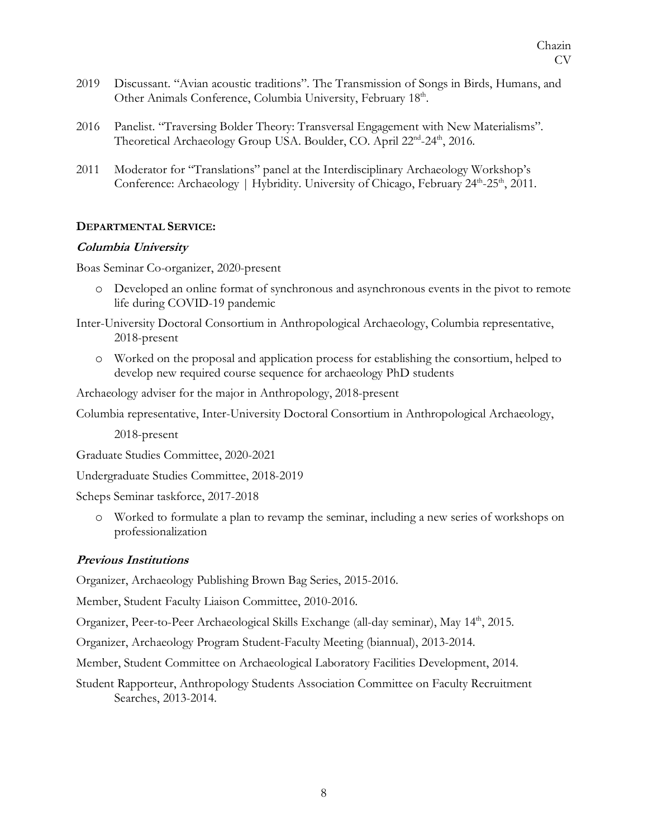- 2019 Discussant. "Avian acoustic traditions". The Transmission of Songs in Birds, Humans, and Other Animals Conference, Columbia University, February 18<sup>th</sup>.
- 2016 Panelist. "Traversing Bolder Theory: Transversal Engagement with New Materialisms". Theoretical Archaeology Group USA. Boulder, CO. April 22<sup>nd</sup>-24<sup>th</sup>, 2016.
- 2011 Moderator for "Translations" panel at the Interdisciplinary Archaeology Workshop's Conference: Archaeology | Hybridity. University of Chicago, February 24<sup>th</sup>-25<sup>th</sup>, 2011.

### **DEPARTMENTAL SERVICE:**

#### **Columbia University**

Boas Seminar Co-organizer, 2020-present

o Developed an online format of synchronous and asynchronous events in the pivot to remote life during COVID-19 pandemic

Inter-University Doctoral Consortium in Anthropological Archaeology, Columbia representative, 2018-present

o Worked on the proposal and application process for establishing the consortium, helped to develop new required course sequence for archaeology PhD students

Archaeology adviser for the major in Anthropology, 2018-present

Columbia representative, Inter-University Doctoral Consortium in Anthropological Archaeology,

2018-present

Graduate Studies Committee, 2020-2021

Undergraduate Studies Committee, 2018-2019

Scheps Seminar taskforce, 2017-2018

o Worked to formulate a plan to revamp the seminar, including a new series of workshops on professionalization

## **Previous Institutions**

Organizer, Archaeology Publishing Brown Bag Series, 2015-2016.

Member, Student Faculty Liaison Committee, 2010-2016.

Organizer, Peer-to-Peer Archaeological Skills Exchange (all-day seminar), May 14th, 2015.

Organizer, Archaeology Program Student-Faculty Meeting (biannual), 2013-2014.

Member, Student Committee on Archaeological Laboratory Facilities Development, 2014.

Student Rapporteur, Anthropology Students Association Committee on Faculty Recruitment Searches, 2013-2014.